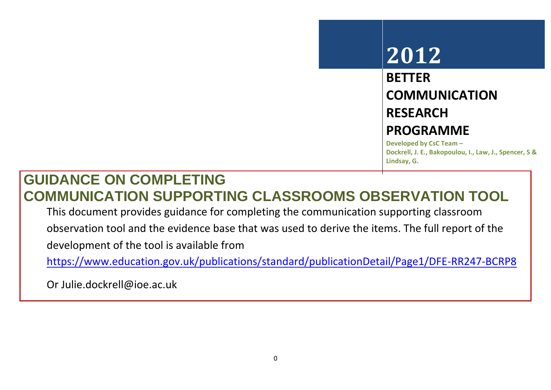# **2012**

# **BETTER COMMUNICATION RESEARCH PROGRAMME**

**Developed by CsC Team – Dockrell, J. E., Bakopoulou, I., Law, J., Spencer, S & Lindsay, G.**

## **GUIDANCE ON COMPLETING COMMUNICATION SUPPORTING CLASSROOMS OBSERVATION TOOL**

This document provides guidance for completing the communication supporting classroom

observation tool and the evidence base that was used to derive the items. The full report of the

development of the tool is available from

<https://www.education.gov.uk/publications/standard/publicationDetail/Page1/DFE-RR247-BCRP8>

Or Julie.dockrell@ioe.ac.uk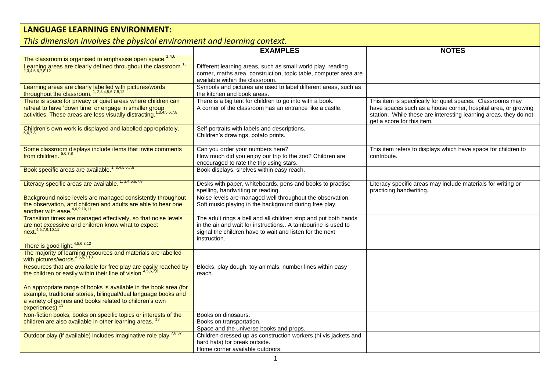### **LANGUAGE LEARNING ENVIRONMENT:**

### *This dimension involves the physical environment and learning context.*

|                                                                                                                                                                                                                               | <b>EXAMPLES</b>                                                                                                                                                                                             | <b>NOTES</b>                                                                                                                                                                                                                  |
|-------------------------------------------------------------------------------------------------------------------------------------------------------------------------------------------------------------------------------|-------------------------------------------------------------------------------------------------------------------------------------------------------------------------------------------------------------|-------------------------------------------------------------------------------------------------------------------------------------------------------------------------------------------------------------------------------|
| The classroom is organised to emphasise open space. <sup>1,4,6</sup>                                                                                                                                                          |                                                                                                                                                                                                             |                                                                                                                                                                                                                               |
| Learning areas are clearly defined throughout the classroom. <sup>1</sup>                                                                                                                                                     | Different learning areas, such as small world play, reading<br>corner, maths area, construction, topic table, computer area are<br>available within the classroom.                                          |                                                                                                                                                                                                                               |
| Learning areas are clearly labelled with pictures/words<br>throughout the classroom. $1, 2, 3, 4, 5, 6, 7, 8, 12$                                                                                                             | Symbols and pictures are used to label different areas, such as<br>the kitchen and book areas.                                                                                                              |                                                                                                                                                                                                                               |
| There is space for privacy or quiet areas where children can<br>retreat to have 'down time' or engage in smaller group<br>activities. These areas are less visually distracting. <sup>1</sup>                                 | There is a big tent for children to go into with a book.<br>A corner of the classroom has an entrance like a castle.                                                                                        | This item is specifically for quiet spaces. Classrooms may<br>have spaces such as a house corner, hospital area, or growing<br>station. While these are interesting learning areas, they do not<br>get a score for this item. |
| Children's own work is displayed and labelled appropriately.                                                                                                                                                                  | Self-portraits with labels and descriptions.<br>Children's drawings, potato prints.                                                                                                                         |                                                                                                                                                                                                                               |
| Some classroom displays include items that invite comments<br>from children. 5,6,7,8                                                                                                                                          | Can you order your numbers here?<br>How much did you enjoy our trip to the zoo? Children are<br>encouraged to rate the trip using stars.                                                                    | This item refers to displays which have space for children to<br>contribute.                                                                                                                                                  |
| Book specific areas are available. <sup>1, 3,4,5,6,7,8</sup>                                                                                                                                                                  | Book displays, shelves within easy reach.                                                                                                                                                                   |                                                                                                                                                                                                                               |
| Literacy specific areas are available. <sup>1, 3,4,5,6,7,8</sup>                                                                                                                                                              | Desks with paper, whiteboards, pens and books to practise<br>spelling, handwriting or reading.                                                                                                              | Literacy specific areas may include materials for writing or<br>practicing handwriting.                                                                                                                                       |
| Background noise levels are managed consistently throughout<br>the observation, and children and adults are able to hear one<br>another with ease. <sup>4,6,9,10,11</sup>                                                     | Noise levels are managed well throughout the observation.<br>Soft music playing in the background during free play.                                                                                         |                                                                                                                                                                                                                               |
| Transition times are managed effectively, so that noise levels<br>are not excessive and children know what to expect<br>next. 4,5,7,9,10,11                                                                                   | The adult rings a bell and all children stop and put both hands<br>in the air and wait for instructions A tambourine is used to<br>signal the children have to wait and listen for the next<br>instruction. |                                                                                                                                                                                                                               |
| There is good light. $4,5,6,8,12$                                                                                                                                                                                             |                                                                                                                                                                                                             |                                                                                                                                                                                                                               |
| The majority of learning resources and materials are labelled<br>with pictures/words. <sup>4,5,6,7,13</sup>                                                                                                                   |                                                                                                                                                                                                             |                                                                                                                                                                                                                               |
| Resources that are available for free play are easily reached by<br>the children or easily within their line of vision. <sup>4,5,6,7,8</sup>                                                                                  | Blocks, play dough, toy animals, number lines within easy<br>reach.                                                                                                                                         |                                                                                                                                                                                                                               |
| An appropriate range of books is available in the book area (for<br>example, traditional stories, bilingual/dual language books and<br>a variety of genres and books related to children's own<br>experiences). <sup>13</sup> |                                                                                                                                                                                                             |                                                                                                                                                                                                                               |
| Non-fiction books, books on specific topics or interests of the<br>children are also available in other learning areas.                                                                                                       | Books on dinosaurs.<br>Books on transportation.<br>Space and the universe books and props.                                                                                                                  |                                                                                                                                                                                                                               |
| Outdoor play (if available) includes imaginative role play. <sup>7,8,37</sup>                                                                                                                                                 | Children dressed up as construction workers (hi vis jackets and<br>hard hats) for break outside.<br>Home corner available outdoors.                                                                         |                                                                                                                                                                                                                               |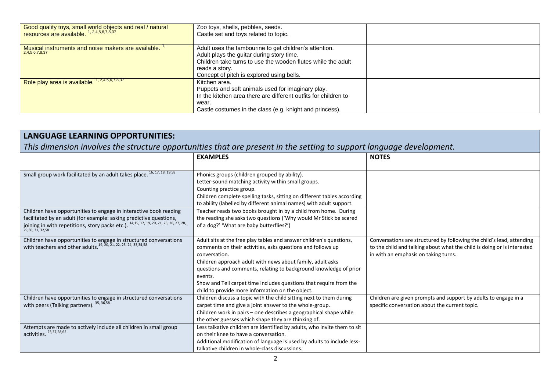| Good quality toys, small world objects and real / natural<br>resources are available. 1, 2,4,5,6,7,8,37 | Zoo toys, shells, pebbles, seeds.<br>Castle set and toys related to topic.                                                                                                                                                         |  |
|---------------------------------------------------------------------------------------------------------|------------------------------------------------------------------------------------------------------------------------------------------------------------------------------------------------------------------------------------|--|
| Musical instruments and noise makers are available. "<br>2,4,5,6,7,8,37                                 | Adult uses the tambourine to get children's attention.<br>Adult plays the quitar during story time.<br>Children take turns to use the wooden flutes while the adult<br>reads a story.<br>Concept of pitch is explored using bells. |  |
| Role play area is available. <sup>1, 2,4,5,6,7,8,37</sup>                                               | Kitchen area.<br>Puppets and soft animals used for imaginary play.<br>In the kitchen area there are different outfits for children to<br>wear.<br>Castle costumes in the class (e.g. knight and princess).                         |  |

| <b>LANGUAGE LEARNING OPPORTUNITIES:</b>                                                                                                          |                                                                                                                        |                                                                         |
|--------------------------------------------------------------------------------------------------------------------------------------------------|------------------------------------------------------------------------------------------------------------------------|-------------------------------------------------------------------------|
| This dimension involves the structure opportunities that are present in the setting to support language development.                             |                                                                                                                        |                                                                         |
|                                                                                                                                                  | <b>EXAMPLES</b>                                                                                                        | <b>NOTES</b>                                                            |
|                                                                                                                                                  |                                                                                                                        |                                                                         |
| Small group work facilitated by an adult takes place. 16, 17, 18, 19,58                                                                          | Phonics groups (children grouped by ability).<br>Letter-sound matching activity within small groups.                   |                                                                         |
|                                                                                                                                                  | Counting practice group.                                                                                               |                                                                         |
|                                                                                                                                                  | Children complete spelling tasks, sitting on different tables according                                                |                                                                         |
|                                                                                                                                                  | to ability (labelled by different animal names) with adult support.                                                    |                                                                         |
| Children have opportunities to engage in interactive book reading                                                                                | Teacher reads two books brought in by a child from home. During                                                        |                                                                         |
| facilitated by an adult (for example: asking predictive questions,                                                                               | the reading she asks two questions ('Why would Mr Stick be scared                                                      |                                                                         |
| joining in with repetitions, story packs etc.). 14,15, 17, 19, 20, 21, 25, 26, 27, 28,                                                           | of a dog?' 'What are baby butterflies?')                                                                               |                                                                         |
| 29, 30, 31, 32, 58                                                                                                                               |                                                                                                                        |                                                                         |
| Children have opportunities to engage in structured conversations<br>with teachers and other adults. <sup>19, 20, 21, 22, 23, 24, 33,34,58</sup> | Adult sits at the free play tables and answer children's questions,                                                    | Conversations are structured by following the child's lead, attending   |
|                                                                                                                                                  | comments on their activities, asks questions and follows up                                                            | to the child and talking about what the child is doing or is interested |
|                                                                                                                                                  | conversation.                                                                                                          | in with an emphasis on taking turns.                                    |
|                                                                                                                                                  | Children approach adult with news about family, adult asks                                                             |                                                                         |
|                                                                                                                                                  | questions and comments, relating to background knowledge of prior                                                      |                                                                         |
|                                                                                                                                                  | events.                                                                                                                |                                                                         |
|                                                                                                                                                  | Show and Tell carpet time includes questions that require from the<br>child to provide more information on the object. |                                                                         |
| Children have opportunities to engage in structured conversations                                                                                | Children discuss a topic with the child sitting next to them during                                                    | Children are given prompts and support by adults to engage in a         |
| with peers (Talking partners). 35, 36, 58                                                                                                        | carpet time and give a joint answer to the whole-group.                                                                | specific conversation about the current topic.                          |
|                                                                                                                                                  | Children work in pairs – one describes a geographical shape while                                                      |                                                                         |
|                                                                                                                                                  | the other guesses which shape they are thinking of.                                                                    |                                                                         |
| Attempts are made to actively include all children in small group<br>activities. 23,37,58,62                                                     | Less talkative children are identified by adults, who invite them to sit                                               |                                                                         |
|                                                                                                                                                  | on their knee to have a conversation.                                                                                  |                                                                         |
|                                                                                                                                                  | Additional modification of language is used by adults to include less-                                                 |                                                                         |
|                                                                                                                                                  | talkative children in whole-class discussions.                                                                         |                                                                         |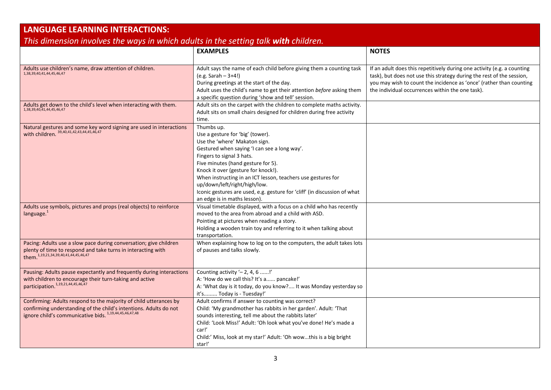| <b>LANGUAGE LEARNING INTERACTIONS:</b>                                                                                                                                                           |                                                                                                                                                                                                                                                                                                                                                                                                                                                        |                                                                                                                                                                                                                                                                             |
|--------------------------------------------------------------------------------------------------------------------------------------------------------------------------------------------------|--------------------------------------------------------------------------------------------------------------------------------------------------------------------------------------------------------------------------------------------------------------------------------------------------------------------------------------------------------------------------------------------------------------------------------------------------------|-----------------------------------------------------------------------------------------------------------------------------------------------------------------------------------------------------------------------------------------------------------------------------|
| This dimension involves the ways in which adults in the setting talk with children.                                                                                                              |                                                                                                                                                                                                                                                                                                                                                                                                                                                        |                                                                                                                                                                                                                                                                             |
|                                                                                                                                                                                                  | <b>EXAMPLES</b>                                                                                                                                                                                                                                                                                                                                                                                                                                        | <b>NOTES</b>                                                                                                                                                                                                                                                                |
| Adults use children's name, draw attention of children.<br>1,38,39,40,41,44,45,46,47                                                                                                             | Adult says the name of each child before giving them a counting task<br>$(e.g. Sarah - 3+4!)$<br>During greetings at the start of the day.<br>Adult uses the child's name to get their attention before asking them<br>a specific question during 'show and tell' session.                                                                                                                                                                             | If an adult does this repetitively during one activity (e.g. a counting<br>task), but does not use this strategy during the rest of the session,<br>you may wish to count the incidence as 'once' (rather than counting<br>the individual occurrences within the one task). |
| Adults get down to the child's level when interacting with them.<br>1,38,39,40,41,44,45,46,47                                                                                                    | Adult sits on the carpet with the children to complete maths activity.<br>Adult sits on small chairs designed for children during free activity<br>time.                                                                                                                                                                                                                                                                                               |                                                                                                                                                                                                                                                                             |
| Natural gestures and some key word signing are used in interactions<br>with children. 39, 40, 41, 42, 43, 44, 45, 46, 47                                                                         | Thumbs up.<br>Use a gesture for 'big' (tower).<br>Use the 'where' Makaton sign.<br>Gestured when saying 'I can see a long way'.<br>Fingers to signal 3 hats.<br>Five minutes (hand gesture for 5).<br>Knock it over (gesture for knock!).<br>When instructing in an ICT lesson, teachers use gestures for<br>up/down/left/right/high/low.<br>Iconic gestures are used, e.g. gesture for 'cliff' (in discussion of what<br>an edge is in maths lesson). |                                                                                                                                                                                                                                                                             |
| Adults use symbols, pictures and props (real objects) to reinforce<br>language. $1$                                                                                                              | Visual timetable displayed, with a focus on a child who has recently<br>moved to the area from abroad and a child with ASD.<br>Pointing at pictures when reading a story.<br>Holding a wooden train toy and referring to it when talking about<br>transportation.                                                                                                                                                                                      |                                                                                                                                                                                                                                                                             |
| Pacing: Adults use a slow pace during conversation; give children<br>plenty of time to respond and take turns in interacting with<br>them. <sup>1,19,21,34,39,40,41,44,45,46,47</sup>            | When explaining how to log on to the computers, the adult takes lots<br>of pauses and talks slowly.                                                                                                                                                                                                                                                                                                                                                    |                                                                                                                                                                                                                                                                             |
| Pausing: Adults pause expectantly and frequently during interactions<br>with children to encourage their turn-taking and active<br>participation. <sup>1,19,21,44,45,46,47</sup>                 | Counting activity $-2$ , 4, 6 !'<br>A: 'How do we call this? It's a pancake!'<br>A: 'What day is it today, do you know? It was Monday yesterday so<br>it's Today is - Tuesday!'                                                                                                                                                                                                                                                                        |                                                                                                                                                                                                                                                                             |
| Confirming: Adults respond to the majority of child utterances by<br>confirming understanding of the child's intentions. Adults do not<br>ignore child's communicative bids. 1,19,44,45,46,47,48 | Adult confirms if answer to counting was correct?<br>Child: 'My grandmother has rabbits in her garden'. Adult: 'That<br>sounds interesting, tell me about the rabbits later'<br>Child: 'Look Miss!' Adult: 'Oh look what you've done! He's made a<br>car!'<br>Child:' Miss, look at my star!' Adult: 'Oh wowthis is a big bright<br>star!'                                                                                                             |                                                                                                                                                                                                                                                                             |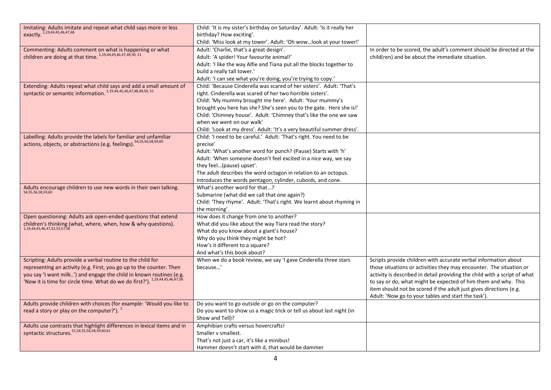| Imitating: Adults imitate and repeat what child says more or less                                                          | Child: 'It is my sister's birthday on Saturday'. Adult: 'Is it really her |                                                                           |
|----------------------------------------------------------------------------------------------------------------------------|---------------------------------------------------------------------------|---------------------------------------------------------------------------|
| exactly. 1,19,44,45,46,47,48                                                                                               | birthday? How exciting'.                                                  |                                                                           |
|                                                                                                                            | Child: 'Miss look at my tower'. Adult: 'Oh wowlook at your tower!'        |                                                                           |
| Commenting: Adults comment on what is happening or what<br>children are doing at that time. $^{1,19,44,45,46,47,49,50,51}$ | Adult: 'Charlie, that's a great design'.                                  | In order to be scored, the adult's comment should be directed at the      |
|                                                                                                                            | Adult: 'A spider! Your favourite animal!'                                 | child(ren) and be about the immediate situation.                          |
|                                                                                                                            | Adult: 'I like the way Alfie and Tiana put all the blocks together to     |                                                                           |
|                                                                                                                            | build a really tall tower.'                                               |                                                                           |
|                                                                                                                            | Adult: 'I can see what you're doing, you're trying to copy.'              |                                                                           |
| Extending: Adults repeat what child says and add a small amount of                                                         | Child: 'Because Cinderella was scared of her sisters'. Adult: 'That's     |                                                                           |
| syntactic or semantic information. 1,19,44,45,46,47,48,49,50, 51                                                           | right. Cinderella was scared of her two horrible sisters'.                |                                                                           |
|                                                                                                                            | Child: 'My mummy brought me here'. Adult: 'Your mummy's                   |                                                                           |
|                                                                                                                            | brought you here has she? She's seen you to the gate. Here she is!'       |                                                                           |
|                                                                                                                            | Child: 'Chimney house'. Adult: 'Chimney that's like the one we saw        |                                                                           |
|                                                                                                                            | when we went on our walk'                                                 |                                                                           |
|                                                                                                                            |                                                                           |                                                                           |
|                                                                                                                            | Child: 'Look at my dress'. Adult: 'It's a very beautiful summer dress'.   |                                                                           |
| Labelling: Adults provide the labels for familiar and unfamiliar                                                           | Child: 'I need to be careful.' Adult: 'That's right. You need to be       |                                                                           |
| actions, objects, or abstractions (e.g. feelings). <sup>54,55,56,58,59,60</sup>                                            | precise'                                                                  |                                                                           |
|                                                                                                                            | Adult: 'What's another word for punch? (Pause) Starts with 'h'            |                                                                           |
|                                                                                                                            | Adult: 'When someone doesn't feel excited in a nice way, we say           |                                                                           |
|                                                                                                                            | they feel(pause) upset'.                                                  |                                                                           |
|                                                                                                                            | The adult describes the word octagon in relation to an octopus.           |                                                                           |
|                                                                                                                            | Introduces the words pentagon, cylinder, cuboids, and cone.               |                                                                           |
| Adults encourage children to use new words in their own talking.                                                           | What's another word for that?                                             |                                                                           |
| 54,55,56,58,59,60                                                                                                          | Submarine (what did we call that one again?)                              |                                                                           |
|                                                                                                                            | Child: 'They rhyme'. Adult: 'That's right. We learnt about rhyming in     |                                                                           |
|                                                                                                                            | the morning'.                                                             |                                                                           |
| Open questioning: Adults ask open-ended questions that extend                                                              | How does it change from one to another?                                   |                                                                           |
| children's thinking (what, where, when, how & why questions).<br>1,19,44,45,46,47,52,53,57,58                              | What did you like about the way Tiara read the story?                     |                                                                           |
|                                                                                                                            | What do you know about a giant's house?                                   |                                                                           |
|                                                                                                                            | Why do you think they might be hot?                                       |                                                                           |
|                                                                                                                            | How's it different to a square?                                           |                                                                           |
|                                                                                                                            | And what's this book about?                                               |                                                                           |
| Scripting: Adults provide a verbal routine to the child for                                                                | When we do a book review, we say 'I gave Cinderella three stars           | Scripts provide children with accurate verbal information about           |
| representing an activity (e.g. First, you go up to the counter. Then                                                       | because'                                                                  | those situations or activities they may encounter. The situation or       |
| you say 'I want milk') and engage the child in known routines (e.g.                                                        |                                                                           | activity is described in detail providing the child with a script of what |
| 'Now it is time for circle time. What do we do first?'). 1,19,44,45,46,47,58                                               |                                                                           | to say or do, what might be expected of him them and why. This            |
|                                                                                                                            |                                                                           | item should not be scored if the adult just gives directions (e.g.        |
|                                                                                                                            |                                                                           | Adult: 'Now go to your tables and start the task').                       |
| Adults provide children with choices (for example: 'Would you like to                                                      | Do you want to go outside or go on the computer?                          |                                                                           |
| read a story or play on the computer?'). $1$                                                                               | Do you want to show us a magic trick or tell us about last night (in      |                                                                           |
|                                                                                                                            | Show and Tell)?                                                           |                                                                           |
| Adults use contrasts that highlight differences in lexical items and in                                                    | Amphibian crafts versus hovercrafts!                                      |                                                                           |
| syntactic structures. 51,54,55,56,58,59,60,61                                                                              | Smaller v smallest.                                                       |                                                                           |
|                                                                                                                            |                                                                           |                                                                           |
|                                                                                                                            | That's not just a car, it's like a minibus!                               |                                                                           |
|                                                                                                                            | Hammer doesn't start with d, that would be dammer                         |                                                                           |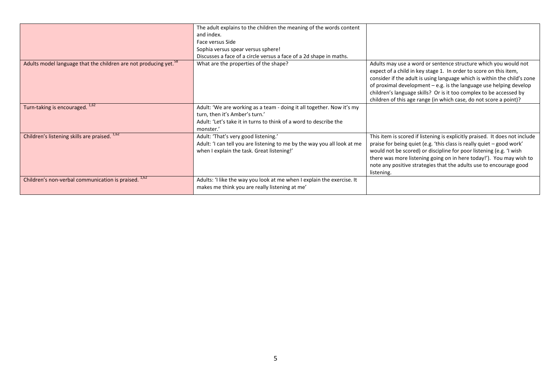|                                                                              | The adult explains to the children the meaning of the words content                                                                                                                       |                                                                                                                                                                                                                                                                                                                                                                                                                                    |
|------------------------------------------------------------------------------|-------------------------------------------------------------------------------------------------------------------------------------------------------------------------------------------|------------------------------------------------------------------------------------------------------------------------------------------------------------------------------------------------------------------------------------------------------------------------------------------------------------------------------------------------------------------------------------------------------------------------------------|
|                                                                              | and index.                                                                                                                                                                                |                                                                                                                                                                                                                                                                                                                                                                                                                                    |
|                                                                              | Face versus Side                                                                                                                                                                          |                                                                                                                                                                                                                                                                                                                                                                                                                                    |
|                                                                              | Sophia versus spear versus sphere!                                                                                                                                                        |                                                                                                                                                                                                                                                                                                                                                                                                                                    |
|                                                                              | Discusses a face of a circle versus a face of a 2d shape in maths.                                                                                                                        |                                                                                                                                                                                                                                                                                                                                                                                                                                    |
| Adults model language that the children are not producing yet. <sup>38</sup> | What are the properties of the shape?                                                                                                                                                     | Adults may use a word or sentence structure which you would not<br>expect of a child in key stage 1. In order to score on this item,<br>consider if the adult is using language which is within the child's zone<br>of proximal development $-e.g.$ is the language use helping develop<br>children's language skills? Or is it too complex to be accessed by<br>children of this age range (in which case, do not score a point)? |
| Turn-taking is encouraged. <sup>1,62</sup>                                   | Adult: 'We are working as a team - doing it all together. Now it's my<br>turn, then it's Amber's turn.'<br>Adult: 'Let's take it in turns to think of a word to describe the<br>monster.' |                                                                                                                                                                                                                                                                                                                                                                                                                                    |
| Children's listening skills are praised. <sup>1,62</sup>                     | Adult: 'That's very good listening.'<br>Adult: 'I can tell you are listening to me by the way you all look at me<br>when I explain the task. Great listening!'                            | This item is scored if listening is explicitly praised. It does not include<br>praise for being quiet (e.g. 'this class is really quiet - good work'<br>would not be scored) or discipline for poor listening (e.g. 'I wish<br>there was more listening going on in here today!'). You may wish to<br>note any positive strategies that the adults use to encourage good<br>listening.                                             |
| 1,62<br>Children's non-verbal communication is praised.                      | Adults: 'I like the way you look at me when I explain the exercise. It<br>makes me think you are really listening at me'                                                                  |                                                                                                                                                                                                                                                                                                                                                                                                                                    |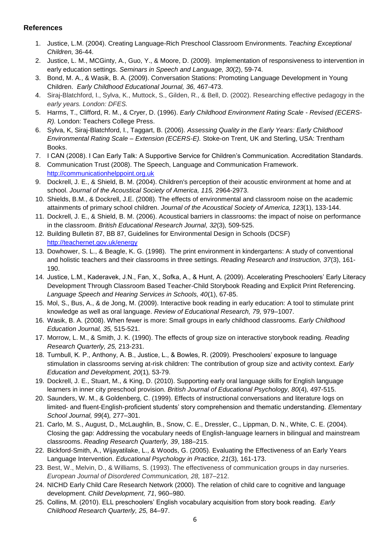#### **References**

- 1. Justice, L.M. (2004). Creating Language-Rich Preschool Classroom Environments. *Teaching Exceptional Children,* 36-44.
- 2. Justice, L. M., MCGinty, A., Guo, Y., & Moore, D. (2009). Implementation of responsiveness to intervention in early education settings. *Seminars in Speech and Language, 30*(2), 59-74.
- 3. Bond, M. A., & Wasik, B. A. (2009). Conversation Stations: Promoting Language Development in Young Children. *Early Childhood Educational Journal, 36,* 467-473.
- 4. Siraj-Blatchford, I., Sylva, K., Muttock, S., Gilden, R., & Bell, D. (2002). Researching effective pedagogy in the *early years. London: DFES.*
- 5. Harms, T., Clifford, R. M., & Cryer, D. (1996). *Early Childhood Environment Rating Scale - Revised (ECERS-R).* London: Teachers College Press.
- 6. Sylva, K, Siraj-Blatchford, I., Taggart, B. (2006). *Assessing Quality in the Early Years: Early Childhood Environmental Rating Scale – Extension (ECERS-E).* Stoke-on Trent, UK and Sterling, USA: Trentham Books.
- 7. I CAN (2008). I Can Early Talk: A Supportive Service for Children's Communication. Accreditation Standards.
- 8. Communication Trust (2008). The Speech, Language and Communication Framework. [http://communicationhelppoint.org.uk](http://communicationhelppoint.org.uk/)
- 9. Dockrell, J. E., & Shield, B. M. (2004). Children's perception of their acoustic environment at home and at school. *Journal of the Acoustical Society of America, 115,* 2964-2973.
- 10. Shields, B.M., & Dockrell, J.E. (2008). The effects of environmental and classroom noise on the academic attainments of primary school children. *Journal of the Acoustical Society of America, 123*(1), 133-144.
- 11. Dockrell, J. E., & Shield, B. M. (2006). Acoustical barriers in classrooms: the impact of noise on performance in the classroom. *British Educational Research Journal, 32*(3)*,* 509-525.
- 12. Building Bulletin 87, BB 87, Guidelines for Environmental Design in Schools (DCSF) <http://teachernet.gov.uk/energy>
- 13. Dowhower, S. L., & Beagle, K. G. (1998). The print environment in kindergartens: A study of conventional and holistic teachers and their classrooms in three settings. *Reading Research and Instruction, 37*(3), 161- 190.
- 14. Justice, L.M., Kaderavek, J.N., Fan, X., Sofka, A., & Hunt, A. (2009). Accelerating Preschoolers' Early Literacy Development Through Classroom Based Teacher-Child Storybook Reading and Explicit Print Referencing. *Language Speech and Hearing Services in Schools, 40*(1), 67-85.
- 15. Mol, S., Bus, A., & de Jong, M. (2009). Interactive book reading in early education: A tool to stimulate print knowledge as well as oral language. *Review of Educational Research, 79,* 979–1007.
- 16. Wasik, B. A. (2008). When fewer is more: Small groups in early childhood classrooms. *Early Childhood Education Journal, 35,* 515-521.
- 17. Morrow, L. M., & Smith, J. K. (1990). The effects of group size on interactive storybook reading. *Reading Research Quarterly, 25,* 213-231.
- 18. Turnbull, K. P., Anthony, A. B., Justice, L., & Bowles, R. (2009). Preschoolers' exposure to language stimulation in classrooms serving at-risk children: The contribution of group size and activity context. *Early Education and Development, 20*(1)*,* 53-79.
- 19. Dockrell, J. E., Stuart, M., & King, D. (2010). Supporting early oral language skills for English language learners in inner city preschool provision. *British Journal of Educational Psychology, 80*(4)*,* 497-515.
- 20. Saunders, W. M., & Goldenberg, C. (1999). Effects of instructional conversations and literature logs on limited- and fluent-English-proficient students' story comprehension and thematic understanding. *Elementary School Journal, 99*(4)*,* 277–301.
- 21. Carlo, M. S., August, D., McLaughlin, B., Snow, C. E., Dressler, C., Lippman, D. N., White, C. E. (2004). Closing the gap: Addressing the vocabulary needs of English-language learners in bilingual and mainstream classrooms. *Reading Research Quarterly, 39*, 188–215.
- 22. Bickford-Smith, A., Wijayatilake, L., & Woods, G. (2005). Evaluating the Effectiveness of an Early Years Language Intervention. *Educational Psychology in Practice, 21*(3)*,* 161-173.
- 23. Best, W., Melvin, D., & Williams, S. (1993). The effectiveness of communication groups in day nurseries. *European Journal of Disordered Communication, 28,* 187–212.
- 24. NICHD Early Child Care Research Network (2000). The relation of child care to cognitive and language development. *Child Development, 71*, 960–980.
- 25. Collins, M. (2010). ELL preschoolers' English vocabulary acquisition from story book reading. *Early Childhood Research Quarterly, 25,* 84–97.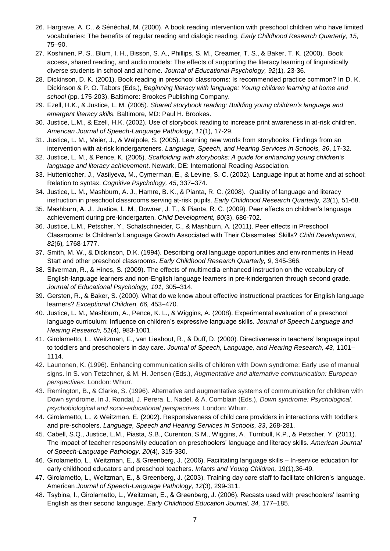- 26. Hargrave, A. C., & Sénéchal, M. (2000). A book reading intervention with preschool children who have limited vocabularies: The benefits of regular reading and dialogic reading. *Early Childhood Research Quarterly, 15*, 75–90.
- 27. Koshinen, P. S., Blum, I. H., Bisson, S. A., Phillips, S. M., Creamer, T. S., & Baker, T. K. (2000). Book access, shared reading, and audio models: The effects of supporting the literacy learning of linguistically diverse students in school and at home. *Journal of Educational Psychology, 92*(1)*,* 23-36.
- 28. Dickinson, D. K. (2001). Book reading in preschool classrooms: Is recommended practice common? In D. K. Dickinson & P. O. Tabors (Eds.), *Beginning literacy with language: Young children learning at home and school* (pp. 175-203). Baltimore: Brookes Publishing Company.
- 29. Ezell, H.K., & Justice, L. M. (2005). *Shared storybook reading: Building young children's language and emergent literacy skills.* Baltimore, MD: Paul H. Brookes.
- 30. Justice, L.M., & Ezell, H.K. (2002). Use of storybook reading to increase print awareness in at-risk children. *American Journal of Speech-Language Pathology, 11*(1), 17-29.
- 31. Justice, L. M., Meier, J., & Walpole, S. (2005). Learning new words from storybooks: Findings from an intervention with at-risk kindergarteners. *Language, Speech, and Hearing Services in Schools, 36*, 17-32.
- 32. Justice, L. M., & Pence, K. (2005). *Scaffolding with storybooks: A guide for enhancing young children's language and literacy achievement*. Newark, DE: International Reading Association.
- 33. Huttenlocher, J., Vasilyeva, M., Cymerman, E., & Levine, S. C. (2002). Language input at home and at school: Relation to syntax. *Cognitive Psychology, 45*, 337–374.
- 34. Justice, L. M., Mashburn, A. J., Hamre, B. K., & Pianta, R. C. (2008). Quality of language and literacy instruction in preschool classrooms serving at-risk pupils. *Early Childhood Research Quarterly, 23*(1)*,* 51-68.
- 35. Mashburn, A. J., Justice, L. M., Downer, J. T., & Pianta, R. C. (2009). Peer effects on children's language achievement during pre-kindergarten. *Child Development, 80*(3), 686-702.
- 36. Justice, L.M., Petscher, Y., Schatschneider, C., & Mashburn, A. (2011). Peer effects in Preschool Classrooms: Is Children's Language Growth Associated with Their Classmates' Skills? *Child Development, 82*(6)*,* 1768-1777.
- 37. Smith, M. W., & Dickinson, D.K. (1994). Describing oral language opportunities and environments in Head Start and other preschool classrooms. *Early Childhood Research Quarterly, 9*, 345-366.
- 38. Silverman, R., & Hines, S. (2009). The effects of multimedia-enhanced instruction on the vocabulary of English-language learners and non-English language learners in pre-kindergarten through second grade. *Journal of Educational Psychology, 101*, 305–314.
- 39. Gersten, R., & Baker, S. (2000). What do we know about effective instructional practices for English language learners? *Exceptional Children, 66,* 453–470.
- 40. Justice, L. M., Mashburn, A., Pence, K. L., & Wiggins, A. (2008). Experimental evaluation of a preschool language curriculum: Influence on children's expressive language skills. *Journal of Speech Language and Hearing Research, 51*(4)*,* 983-1001.
- 41. Girolametto, L., Weitzman, E., van Lieshout, R., & Duff, D. (2000). Directiveness in teachers' language input to toddlers and preschoolers in day care. *Journal of Speech, Language, and Hearing Research, 43*, 1101– 1114.
- 42. Launonen, K. (1996). Enhancing communication skills of children with Down syndrome: Early use of manual signs. In S. von Tetzchner, & M. H. Jensen (Eds.), *Augmentative and alternative communication: European perspectives*. London: Whurr.
- 43. Remington, B., & Clarke, S. (1996). Alternative and augmentative systems of communication for children with Down syndrome. In J. Rondal, J. Perera, L. Nadel, & A. Comblain (Eds.), *Down syndrome: Psychological, psychobiological and socio-educational perspectives.* London: Whurr.
- 44. Girolametto, L., & Weitzman, E. (2002). Responsiveness of child care providers in interactions with toddlers and pre-schoolers. *Language, Speech and Hearing Services in Schools, 33*, 268-281.
- 45. Cabell, S.Q., Justice, L.M., Piasta, S.B., Curenton, S.M., Wiggins, A., Turnbull, K.P., & Petscher, Y. (2011). The impact of teacher responsivity education on preschoolers' language and literacy skills. *American Journal of Speech-Language Pathology, 20*(4)*,* 315-330.
- 46. Girolametto, L., Weitzman, E., & Greenberg, J. (2006). Facilitating language skills In-service education for early childhood educators and preschool teachers. *Infants and Young Children,* 19(1)*,*36-49.
- 47. Girolametto, L., Weitzman, E., & Greenberg, J. (2003). Training day care staff to facilitate children's language. American *Journal of Speech-Language Pathology, 12*(3)*,* 299-311.
- 48. Tsybina, I., Girolametto, L., Weitzman, E., & Greenberg, J. (2006). Recasts used with preschoolers' learning English as their second language. *Early Childhood Education Journal, 34,* 177–185.